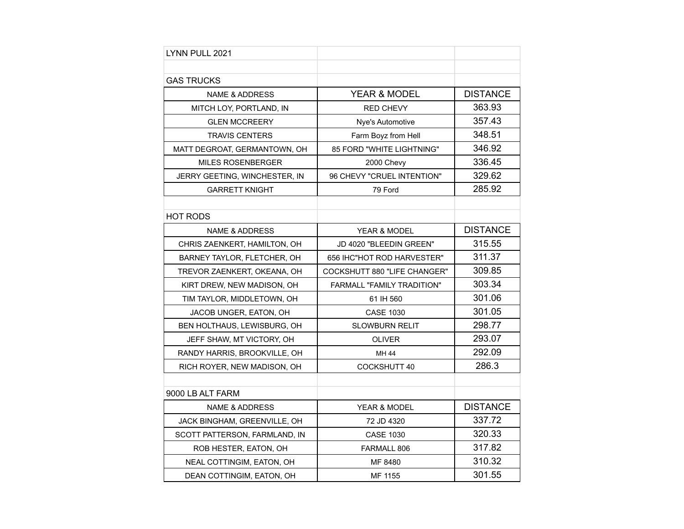| LYNN PULL 2021                |                              |                 |
|-------------------------------|------------------------------|-----------------|
|                               |                              |                 |
| <b>GAS TRUCKS</b>             |                              |                 |
| <b>NAME &amp; ADDRESS</b>     | <b>YEAR &amp; MODEL</b>      | <b>DISTANCE</b> |
| MITCH LOY, PORTLAND, IN       | <b>RED CHEVY</b>             | 363.93          |
| <b>GLEN MCCREERY</b>          | Nye's Automotive             | 357.43          |
| <b>TRAVIS CENTERS</b>         | Farm Boyz from Hell          | 348.51          |
| MATT DEGROAT, GERMANTOWN, OH  | 85 FORD "WHITE LIGHTNING"    | 346.92          |
| <b>MILES ROSENBERGER</b>      | 2000 Chevy                   | 336.45          |
| JERRY GEETING, WINCHESTER, IN | 96 CHEVY "CRUEL INTENTION"   | 329.62          |
| <b>GARRETT KNIGHT</b>         | 79 Ford                      | 285.92          |
|                               |                              |                 |
| <b>HOT RODS</b>               |                              |                 |
| <b>NAME &amp; ADDRESS</b>     | <b>YEAR &amp; MODEL</b>      | <b>DISTANCE</b> |
| CHRIS ZAENKERT, HAMILTON, OH  | JD 4020 "BLEEDIN GREEN"      | 315.55          |
| BARNEY TAYLOR, FLETCHER, OH   | 656 IHC"HOT ROD HARVESTER"   | 311.37          |
| TREVOR ZAENKERT, OKEANA, OH   | COCKSHUTT 880 "LIFE CHANGER" | 309.85          |
| KIRT DREW, NEW MADISON, OH    | FARMALL "FAMILY TRADITION"   | 303.34          |
| TIM TAYLOR, MIDDLETOWN, OH    | 61 IH 560                    | 301.06          |
| JACOB UNGER, EATON, OH        | <b>CASE 1030</b>             | 301.05          |
| BEN HOLTHAUS, LEWISBURG, OH   | <b>SLOWBURN RELIT</b>        | 298.77          |
| JEFF SHAW, MT VICTORY, OH     | <b>OLIVER</b>                | 293.07          |
| RANDY HARRIS, BROOKVILLE, OH  | MH 44                        | 292.09          |
| RICH ROYER, NEW MADISON, OH   | COCKSHUTT 40                 | 286.3           |
|                               |                              |                 |
| 9000 LB ALT FARM              |                              |                 |
| <b>NAME &amp; ADDRESS</b>     | <b>YEAR &amp; MODEL</b>      | <b>DISTANCE</b> |
| JACK BINGHAM, GREENVILLE, OH  | 72 JD 4320                   | 337.72          |
| SCOTT PATTERSON, FARMLAND, IN | <b>CASE 1030</b>             | 320.33          |
| ROB HESTER, EATON, OH         | FARMALL 806                  | 317.82          |
| NEAL COTTINGIM, EATON, OH     | MF 8480                      | 310.32          |
| DEAN COTTINGIM, EATON, OH     | MF 1155                      | 301.55          |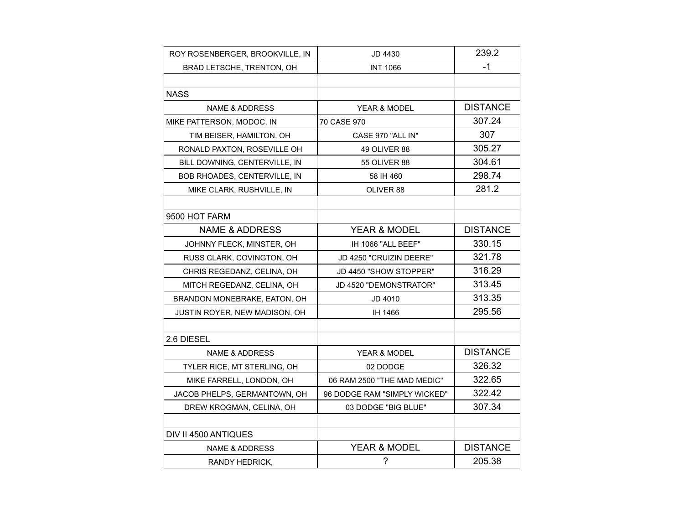| ROY ROSENBERGER, BROOKVILLE, IN | JD 4430                      | 239.2           |
|---------------------------------|------------------------------|-----------------|
| BRAD LETSCHE, TRENTON, OH       | <b>INT 1066</b>              | -1              |
|                                 |                              |                 |
| <b>NASS</b>                     |                              |                 |
| <b>NAME &amp; ADDRESS</b>       | <b>YEAR &amp; MODEL</b>      | <b>DISTANCE</b> |
| MIKE PATTERSON, MODOC, IN       | 70 CASE 970                  | 307.24          |
| TIM BEISER, HAMILTON, OH        | CASE 970 "ALL IN"            | 307             |
| RONALD PAXTON, ROSEVILLE OH     | 49 OLIVER 88                 | 305.27          |
| BILL DOWNING, CENTERVILLE, IN   | <b>55 OLIVER 88</b>          | 304.61          |
| BOB RHOADES, CENTERVILLE, IN    | 58 IH 460                    | 298.74          |
| MIKE CLARK, RUSHVILLE, IN       | OLIVER 88                    | 281.2           |
|                                 |                              |                 |
| 9500 HOT FARM                   |                              |                 |
| <b>NAME &amp; ADDRESS</b>       | <b>YEAR &amp; MODEL</b>      | <b>DISTANCE</b> |
| JOHNNY FLECK, MINSTER, OH       | IH 1066 "ALL BEEF"           | 330.15          |
| RUSS CLARK, COVINGTON, OH       | JD 4250 "CRUIZIN DEERE"      | 321.78          |
| CHRIS REGEDANZ, CELINA, OH      | JD 4450 "SHOW STOPPER"       | 316.29          |
| MITCH REGEDANZ, CELINA, OH      | JD 4520 "DEMONSTRATOR"       | 313.45          |
| BRANDON MONEBRAKE, EATON, OH    | <b>JD 4010</b>               | 313.35          |
| JUSTIN ROYER, NEW MADISON, OH   | IH 1466                      | 295.56          |
|                                 |                              |                 |
| 2.6 DIESEL                      |                              |                 |
| <b>NAME &amp; ADDRESS</b>       | YEAR & MODEL                 | <b>DISTANCE</b> |
| TYLER RICE, MT STERLING, OH     | 02 DODGE                     | 326.32          |
| MIKE FARRELL, LONDON, OH        | 06 RAM 2500 "THE MAD MEDIC"  | 322.65          |
| JACOB PHELPS, GERMANTOWN, OH    | 96 DODGE RAM "SIMPLY WICKED" | 322.42          |
| DREW KROGMAN, CELINA, OH        | 03 DODGE "BIG BLUE"          | 307.34          |
|                                 |                              |                 |
| DIV II 4500 ANTIQUES            |                              |                 |
| <b>NAME &amp; ADDRESS</b>       | YEAR & MODEL                 | <b>DISTANCE</b> |
| RANDY HEDRICK,                  | $\tilde{?}$                  | 205.38          |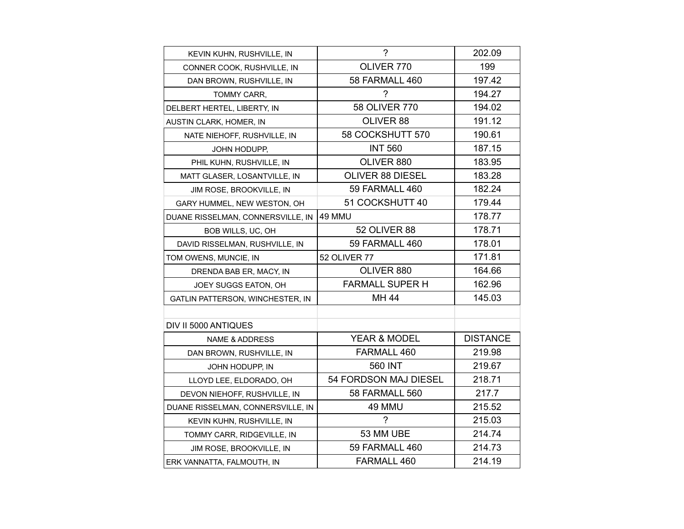| KEVIN KUHN, RUSHVILLE, IN         | $\overline{\phantom{0}}$ | 202.09          |
|-----------------------------------|--------------------------|-----------------|
| CONNER COOK, RUSHVILLE, IN        | OLIVER 770               | 199             |
| DAN BROWN, RUSHVILLE, IN          | 58 FARMALL 460           | 197.42          |
| TOMMY CARR,                       | ?                        | 194.27          |
| DELBERT HERTEL, LIBERTY, IN       | 58 OLIVER 770            | 194.02          |
| AUSTIN CLARK, HOMER, IN           | OLIVER 88                | 191.12          |
| NATE NIEHOFF, RUSHVILLE, IN       | 58 COCKSHUTT 570         | 190.61          |
| JOHN HODUPP,                      | <b>INT 560</b>           | 187.15          |
| PHIL KUHN, RUSHVILLE, IN          | OLIVER 880               | 183.95          |
| MATT GLASER, LOSANTVILLE, IN      | <b>OLIVER 88 DIESEL</b>  | 183.28          |
| JIM ROSE, BROOKVILLE, IN          | 59 FARMALL 460           | 182.24          |
| GARY HUMMEL, NEW WESTON, OH       | 51 COCKSHUTT 40          | 179.44          |
| DUANE RISSELMAN, CONNERSVILLE, IN | 49 MMU                   | 178.77          |
| BOB WILLS, UC, OH                 | 52 OLIVER 88             | 178.71          |
| DAVID RISSELMAN, RUSHVILLE, IN    | 59 FARMALL 460           | 178.01          |
| TOM OWENS, MUNCIE, IN             | <b>52 OLIVER 77</b>      | 171.81          |
| DRENDA BAB ER, MACY, IN           | OLIVER 880               | 164.66          |
| JOEY SUGGS EATON, OH              | <b>FARMALL SUPER H</b>   | 162.96          |
| GATLIN PATTERSON, WINCHESTER, IN  | MH 44                    | 145.03          |
|                                   |                          |                 |
| DIV II 5000 ANTIQUES              |                          |                 |
| NAME & ADDRESS                    | <b>YEAR &amp; MODEL</b>  | <b>DISTANCE</b> |
| DAN BROWN, RUSHVILLE, IN          | FARMALL 460              | 219.98          |
| JOHN HODUPP, IN                   | 560 INT                  | 219.67          |
| LLOYD LEE, ELDORADO, OH           | 54 FORDSON MAJ DIESEL    | 218.71          |
| DEVON NIEHOFF, RUSHVILLE, IN      | 58 FARMALL 560           | 217.7           |
| DUANE RISSELMAN, CONNERSVILLE, IN | 49 MMU                   | 215.52          |
| KEVIN KUHN, RUSHVILLE, IN         | ?                        | 215.03          |
| TOMMY CARR, RIDGEVILLE, IN        | 53 MM UBE                | 214.74          |
| JIM ROSE, BROOKVILLE, IN          | 59 FARMALL 460           | 214.73          |
| ERK VANNATTA, FALMOUTH, IN        | FARMALL 460              | 214.19          |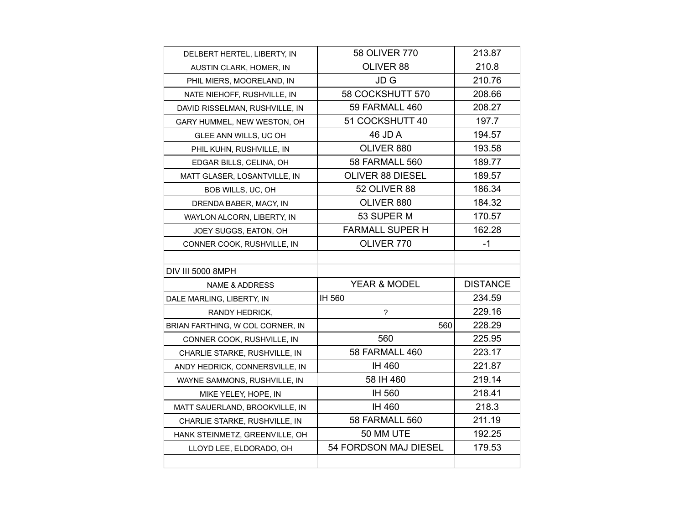| DELBERT HERTEL, LIBERTY, IN      | 58 OLIVER 770            | 213.87          |
|----------------------------------|--------------------------|-----------------|
| AUSTIN CLARK, HOMER, IN          | OLIVER 88                | 210.8           |
| PHIL MIERS, MOORELAND, IN        | JD G                     | 210.76          |
| NATE NIEHOFF, RUSHVILLE, IN      | 58 COCKSHUTT 570         | 208.66          |
| DAVID RISSELMAN, RUSHVILLE, IN   | 59 FARMALL 460           | 208.27          |
| GARY HUMMEL, NEW WESTON, OH      | 51 COCKSHUTT 40          | 197.7           |
| GLEE ANN WILLS, UC OH            | 46 JD A                  | 194.57          |
| PHIL KUHN, RUSHVILLE, IN         | OLIVER 880               | 193.58          |
| EDGAR BILLS, CELINA, OH          | <b>58 FARMALL 560</b>    | 189.77          |
| MATT GLASER, LOSANTVILLE, IN     | <b>OLIVER 88 DIESEL</b>  | 189.57          |
| BOB WILLS, UC, OH                | 52 OLIVER 88             | 186.34          |
| DRENDA BABER, MACY, IN           | OLIVER 880               | 184.32          |
| WAYLON ALCORN, LIBERTY, IN       | 53 SUPER M               | 170.57          |
| JOEY SUGGS, EATON, OH            | <b>FARMALL SUPER H</b>   | 162.28          |
| CONNER COOK, RUSHVILLE, IN       | OLIVER 770               | -1              |
|                                  |                          |                 |
|                                  |                          |                 |
| <b>DIV III 5000 8MPH</b>         |                          |                 |
| NAME & ADDRESS                   | YEAR & MODEL             | <b>DISTANCE</b> |
| DALE MARLING, LIBERTY, IN        | IH 560                   | 234.59          |
| RANDY HEDRICK,                   | $\overline{\phantom{a}}$ | 229.16          |
| BRIAN FARTHING, W COL CORNER, IN | 560                      | 228.29          |
| CONNER COOK, RUSHVILLE, IN       | 560                      | 225.95          |
| CHARLIE STARKE, RUSHVILLE, IN    | 58 FARMALL 460           | 223.17          |
| ANDY HEDRICK, CONNERSVILLE, IN   | IH 460                   | 221.87          |
| WAYNE SAMMONS, RUSHVILLE, IN     | 58 IH 460                | 219.14          |
| MIKE YELEY, HOPE, IN             | IH 560                   | 218.41          |
| MATT SAUERLAND, BROOKVILLE, IN   | IH 460                   | 218.3           |
| CHARLIE STARKE, RUSHVILLE, IN    | <b>58 FARMALL 560</b>    | 211.19          |
| HANK STEINMETZ, GREENVILLE, OH   | 50 MM UTE                | 192.25          |
| LLOYD LEE, ELDORADO, OH          | 54 FORDSON MAJ DIESEL    | 179.53          |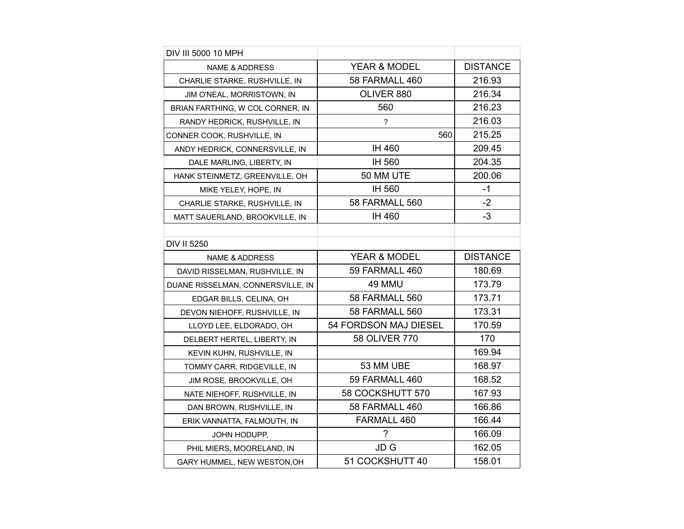| DIV III 5000 10 MPH               |                          |                 |
|-----------------------------------|--------------------------|-----------------|
| <b>NAME &amp; ADDRESS</b>         | YEAR & MODEL             | <b>DISTANCE</b> |
| CHARLIE STARKE, RUSHVILLE, IN     | 58 FARMALL 460           | 216.93          |
| JIM O'NEAL, MORRISTOWN, IN        | OLIVER 880               | 216.34          |
| BRIAN FARTHING, W COL CORNER, IN  | 560                      | 216.23          |
| RANDY HEDRICK, RUSHVILLE, IN      | $\overline{\phantom{a}}$ | 216.03          |
| CONNER COOK, RUSHVILLE, IN        | 560                      | 215.25          |
| ANDY HEDRICK, CONNERSVILLE, IN    | IH 460                   | 209.45          |
| DALE MARLING, LIBERTY, IN         | IH 560                   | 204.35          |
| HANK STEINMETZ, GREENVILLE, OH    | 50 MM UTE                | 200.06          |
| MIKE YELEY, HOPE, IN              | IH 560                   | $-1$            |
| CHARLIE STARKE, RUSHVILLE, IN     | <b>58 FARMALL 560</b>    | $-2$            |
| MATT SAUERLAND, BROOKVILLE, IN    | IH 460                   | $-3$            |
|                                   |                          |                 |
| DIV II 5250                       |                          |                 |
| <b>NAME &amp; ADDRESS</b>         | YEAR & MODEL             | <b>DISTANCE</b> |
| DAVID RISSELMAN, RUSHVILLE, IN    | 59 FARMALL 460           | 180.69          |
| DUANE RISSELMAN, CONNERSVILLE, IN | 49 MMU                   | 173.79          |
| EDGAR BILLS, CELINA, OH           | <b>58 FARMALL 560</b>    | 173.71          |
| DEVON NIEHOFF, RUSHVILLE, IN      | <b>58 FARMALL 560</b>    | 173.31          |
| LLOYD LEE, ELDORADO, OH           | 54 FORDSON MAJ DIESEL    | 170.59          |
| DELBERT HERTEL, LIBERTY, IN       | 58 OLIVER 770            | 170             |
| KEVIN KUHN, RUSHVILLE, IN         |                          | 169.94          |
| TOMMY CARR, RIDGEVILLE, IN        | 53 MM UBE                | 168.97          |
| JIM ROSE, BROOKVILLE, OH          | 59 FARMALL 460           | 168.52          |
| NATE NIEHOFF, RUSHVILLE, IN       | 58 COCKSHUTT 570         | 167.93          |
| DAN BROWN, RUSHVILLE, IN          | 58 FARMALL 460           | 166.86          |
| ERIK VANNATTA, FALMOUTH, IN       | FARMALL 460              | 166.44          |
| JOHN HODUPP,                      | ?                        | 166.09          |
| PHIL MIERS, MOORELAND, IN         | JD G                     | 162.05          |
| GARY HUMMEL, NEW WESTON, OH       | 51 COCKSHUTT 40          | 158.01          |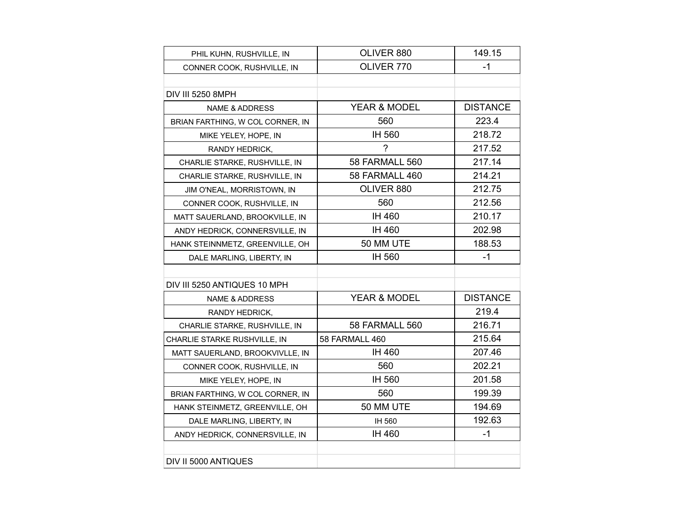| PHIL KUHN, RUSHVILLE, IN         | OLIVER 880            | 149.15          |
|----------------------------------|-----------------------|-----------------|
| CONNER COOK, RUSHVILLE, IN       | OLIVER 770            | -1              |
|                                  |                       |                 |
| DIV III 5250 8MPH                |                       |                 |
| <b>NAME &amp; ADDRESS</b>        | YEAR & MODEL          | <b>DISTANCE</b> |
| BRIAN FARTHING, W COL CORNER, IN | 560                   | 223.4           |
| MIKE YELEY, HOPE, IN             | IH 560                | 218.72          |
| RANDY HEDRICK,                   | ?                     | 217.52          |
| CHARLIE STARKE, RUSHVILLE, IN    | 58 FARMALL 560        | 217.14          |
| CHARLIE STARKE, RUSHVILLE, IN    | 58 FARMALL 460        | 214.21          |
| JIM O'NEAL, MORRISTOWN, IN       | OLIVER 880            | 212.75          |
| CONNER COOK, RUSHVILLE, IN       | 560                   | 212.56          |
| MATT SAUERLAND, BROOKVILLE, IN   | IH 460                | 210.17          |
| ANDY HEDRICK, CONNERSVILLE, IN   | IH 460                | 202.98          |
| HANK STEINNMETZ, GREENVILLE, OH  | 50 MM UTE             | 188.53          |
| DALE MARLING, LIBERTY, IN        | IH 560                | $-1$            |
|                                  |                       |                 |
| DIV III 5250 ANTIQUES 10 MPH     |                       |                 |
| <b>NAME &amp; ADDRESS</b>        | YEAR & MODEL          | <b>DISTANCE</b> |
| RANDY HEDRICK,                   |                       | 219.4           |
| CHARLIE STARKE, RUSHVILLE, IN    | <b>58 FARMALL 560</b> | 216.71          |
| CHARLIE STARKE RUSHVILLE, IN     | 58 FARMALL 460        | 215.64          |
| MATT SAUERLAND, BROOKVIVLLE, IN  | IH 460                | 207.46          |
| CONNER COOK, RUSHVILLE, IN       | 560                   | 202.21          |
| MIKE YELEY, HOPE, IN             | IH 560                | 201.58          |
| BRIAN FARTHING, W COL CORNER, IN | 560                   | 199.39          |
| HANK STEINMETZ, GREENVILLE, OH   | 50 MM UTE             | 194.69          |
| DALE MARLING, LIBERTY, IN        | IH 560                | 192.63          |
| ANDY HEDRICK, CONNERSVILLE, IN   | IH 460                | $-1$            |
|                                  |                       |                 |
| DIV II 5000 ANTIQUES             |                       |                 |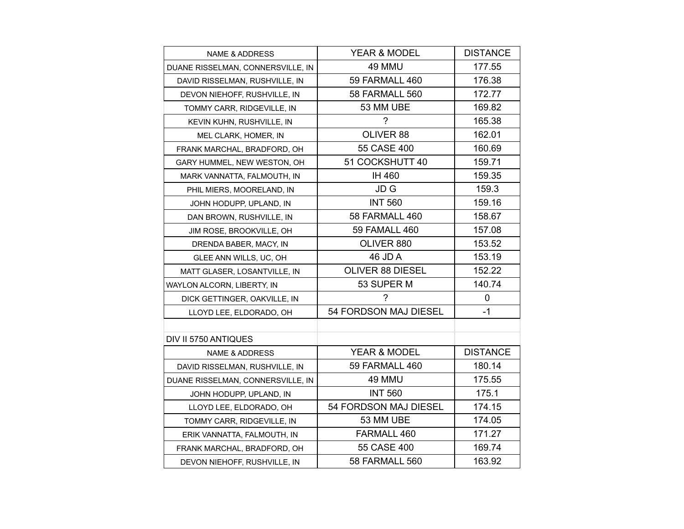| <b>NAME &amp; ADDRESS</b>         | YEAR & MODEL            | <b>DISTANCE</b> |
|-----------------------------------|-------------------------|-----------------|
| DUANE RISSELMAN, CONNERSVILLE, IN | 49 MMU                  | 177.55          |
| DAVID RISSELMAN, RUSHVILLE, IN    | 59 FARMALL 460          | 176.38          |
| DEVON NIEHOFF, RUSHVILLE, IN      | <b>58 FARMALL 560</b>   | 172.77          |
| TOMMY CARR, RIDGEVILLE, IN        | 53 MM UBE               | 169.82          |
| KEVIN KUHN, RUSHVILLE, IN         | 7                       | 165.38          |
| MEL CLARK, HOMER, IN              | OLIVER 88               | 162.01          |
| FRANK MARCHAL, BRADFORD, OH       | 55 CASE 400             | 160.69          |
| GARY HUMMEL, NEW WESTON, OH       | 51 COCKSHUTT 40         | 159.71          |
| MARK VANNATTA, FALMOUTH, IN       | IH 460                  | 159.35          |
| PHIL MIERS, MOORELAND, IN         | JD G                    | 159.3           |
| JOHN HODUPP, UPLAND, IN           | <b>INT 560</b>          | 159.16          |
| DAN BROWN, RUSHVILLE, IN          | 58 FARMALL 460          | 158.67          |
| JIM ROSE, BROOKVILLE, OH          | <b>59 FAMALL 460</b>    | 157.08          |
| DRENDA BABER, MACY, IN            | OLIVER 880              | 153.52          |
| GLEE ANN WILLS, UC, OH            | 46 JD A                 | 153.19          |
| MATT GLASER, LOSANTVILLE, IN      | <b>OLIVER 88 DIESEL</b> | 152.22          |
| WAYLON ALCORN, LIBERTY, IN        | 53 SUPER M              | 140.74          |
| DICK GETTINGER, OAKVILLE, IN      | ?                       | $\mathbf 0$     |
| LLOYD LEE, ELDORADO, OH           | 54 FORDSON MAJ DIESEL   | $-1$            |
|                                   |                         |                 |
| DIV II 5750 ANTIQUES              |                         |                 |
| <b>NAME &amp; ADDRESS</b>         | YEAR & MODEL            | <b>DISTANCE</b> |
| DAVID RISSELMAN, RUSHVILLE, IN    | 59 FARMALL 460          | 180.14          |
| DUANE RISSELMAN, CONNERSVILLE, IN | 49 MMU                  | 175.55          |
| JOHN HODUPP, UPLAND, IN           | <b>INT 560</b>          | 175.1           |
| LLOYD LEE, ELDORADO, OH           | 54 FORDSON MAJ DIESEL   | 174.15          |
| TOMMY CARR, RIDGEVILLE, IN        | 53 MM UBE               | 174.05          |
| ERIK VANNATTA, FALMOUTH, IN       | FARMALL 460             | 171.27          |
| FRANK MARCHAL, BRADFORD, OH       | 55 CASE 400             | 169.74          |
| DEVON NIEHOFF, RUSHVILLE, IN      | 58 FARMALL 560          | 163.92          |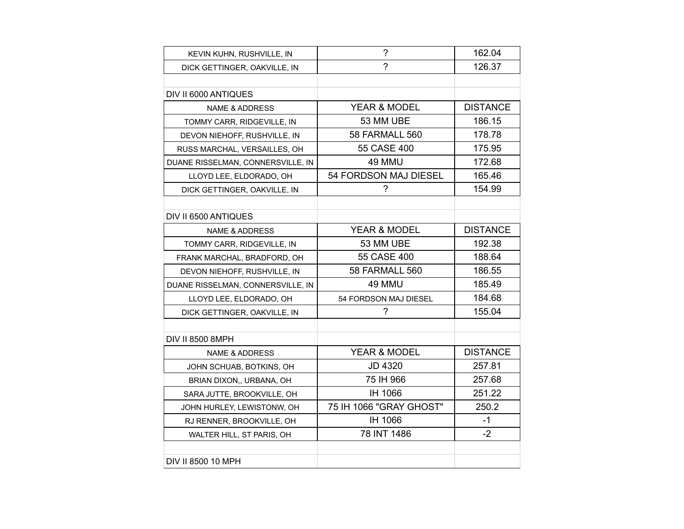| KEVIN KUHN, RUSHVILLE, IN         | $\tilde{?}$             | 162.04          |
|-----------------------------------|-------------------------|-----------------|
| DICK GETTINGER, OAKVILLE, IN      | 7                       | 126.37          |
|                                   |                         |                 |
| DIV II 6000 ANTIQUES              |                         |                 |
| <b>NAME &amp; ADDRESS</b>         | YEAR & MODEL            | <b>DISTANCE</b> |
| TOMMY CARR, RIDGEVILLE, IN        | 53 MM UBE               | 186.15          |
| DEVON NIEHOFF, RUSHVILLE, IN      | <b>58 FARMALL 560</b>   | 178.78          |
| RUSS MARCHAL, VERSAILLES, OH      | 55 CASE 400             | 175.95          |
| DUANE RISSELMAN, CONNERSVILLE, IN | 49 MMU                  | 172.68          |
| LLOYD LEE, ELDORADO, OH           | 54 FORDSON MAJ DIESEL   | 165.46          |
| DICK GETTINGER, OAKVILLE, IN      | 2                       | 154.99          |
|                                   |                         |                 |
| DIV II 6500 ANTIQUES              |                         |                 |
| <b>NAME &amp; ADDRESS</b>         | <b>YEAR &amp; MODEL</b> | <b>DISTANCE</b> |
| TOMMY CARR, RIDGEVILLE, IN        | 53 MM UBE               | 192.38          |
| FRANK MARCHAL, BRADFORD, OH       | 55 CASE 400             | 188.64          |
| DEVON NIEHOFF, RUSHVILLE, IN      | 58 FARMALL 560          | 186.55          |
| DUANE RISSELMAN, CONNERSVILLE, IN | 49 MMU                  | 185.49          |
| LLOYD LEE, ELDORADO, OH           | 54 FORDSON MAJ DIESEL   | 184.68          |
| DICK GETTINGER, OAKVILLE, IN      | ?                       | 155.04          |
|                                   |                         |                 |
| <b>DIV II 8500 8MPH</b>           |                         |                 |
| NAME & ADDRESS                    | YEAR & MODEL            | <b>DISTANCE</b> |
| JOHN SCHUAB, BOTKINS, OH          | JD 4320                 | 257.81          |
| BRIAN DIXON,, URBANA, OH          | 75 IH 966               | 257.68          |
| SARA JUTTE, BROOKVILLE, OH        | IH 1066                 | 251.22          |
| JOHN HURLEY, LEWISTONW, OH        | 75 IH 1066 "GRAY GHOST" | 250.2           |
| RJ RENNER, BROOKVILLE, OH         | IH 1066                 | $-1$            |
| WALTER HILL, ST PARIS, OH         | 78 INT 1486             | $-2$            |
|                                   |                         |                 |
| DIV II 8500 10 MPH                |                         |                 |